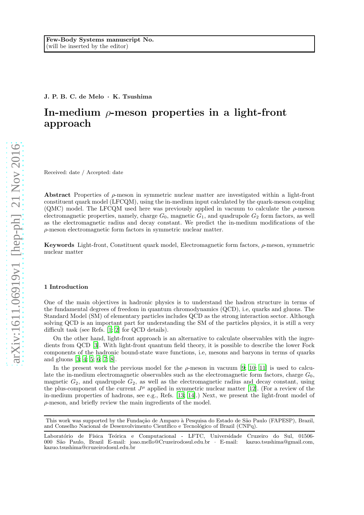J. P. B. C. de Melo · K. Tsushima

# In-medium  $\rho$ -meson properties in a light-front approach

Received: date / Accepted: date

Abstract Properties of  $\rho$ -meson in symmetric nuclear matter are investigated within a light-front constituent quark model (LFCQM), using the in-medium input calculated by the quark-meson coupling (QMC) model. The LFCQM used here was previously applied in vacuum to calculate the  $\rho$ -meson electromagnetic properties, namely, charge  $G_0$ , magnetic  $G_1$ , and quadrupole  $G_2$  form factors, as well as the electromagnetic radius and decay constant. We predict the in-medium modifications of the ρ-meson electromagnetic form factors in symmetric nuclear matter.

Keywords Light-front, Constituent quark model, Electromagnetic form factors, ρ-meson, symmetric nuclear matter

### 1 Introduction

One of the main objectives in hadronic physics is to understand the hadron structure in terms of the fundamental degrees of freedom in quantum chromodynamics (QCD), i.e, quarks and gluons. The Standard Model (SM) of elementary particles includes QCD as the strong interaction sector. Although solving QCD is an important part for understanding the SM of the particles physics, it is still a very difficult task (see Refs. [\[1;](#page-6-0) [2\]](#page-6-1) for QCD details).

On the other hand, light-front approach is an alternative to calculate observables with the ingredients from QCD [\[3](#page-6-2)]. With light-front quantum field theory, it is possible to describe the lower Fock components of the hadronic bound-state wave functions, i.e, mesons and baryons in terms of quarks and gluons [\[3](#page-6-2); [4](#page-6-3); [5](#page-6-4); [6](#page-6-5); [7](#page-6-6); [8\]](#page-6-7).

In the present work the previous model for the  $\rho$ -meson in vacuum [\[9](#page-6-8); [10](#page-6-9); [11](#page-6-10)] is used to calculate the in-medium electromagnetic observables such as the electromagnetic form factors, charge  $G_0$ , magnetic  $G_2$ , and quadrupole  $G_2$ , as well as the electromagnetic radius and decay constant, using the plus-component of the current  $J^{\mu}$  applied in symmetric nuclear matter [\[12\]](#page-6-11). (For a review of the in-medium properties of hadrons, see e.g., Refs. [\[13;](#page-6-12) [14\]](#page-6-13).) Next, we present the light-front model of  $\rho$ -meson, and briefly review the main ingredients of the model.

This work was supported by the Fundação de Amparo à Pesquisa do Estado de São Paulo (FAPESP), Brazil, and Conselho Nacional de Desenvolvimento Científico e Tecnológico of Brazil (CNPq).

Laboratório de Física Teórica e Computacional - LFTC, Universidade Cruzeiro do Sul, 01506-<br>000 São Paulo, Brazil E-mail: joao.mello@Cruzeirodosul.edu.br · E-mail: kazuo.tsushima@gmail.com. 000 São Paulo, Brazil E-mail: joao.mello@Cruzeirodosul.edu.br  $\cdot$  E-mail: kazuo.tsushima@cruzeirodosul.edu.br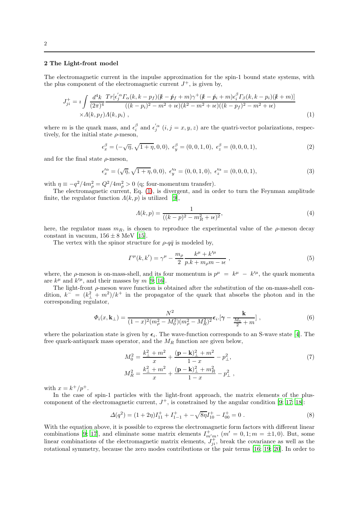## 2 The Light-front model

The electromagnetic current in the impulse approximation for the spin-1 bound state systems, with the plus component of the electromagnetic current  $J^+$ , is given by,

<span id="page-1-0"></span>
$$
J_{ji}^{+} = i \int \frac{d^{4}k}{(2\pi)^{4}} \frac{Tr[\epsilon_{j}^{'\alpha} \Gamma_{\alpha}(k, k - p_{f})(k - \not{p}_{f} + m)\gamma^{+}(k - \not{p}_{i} + m)\epsilon_{i}^{\beta} \Gamma_{\beta}(k, k - p_{i})(k + m)]}{((k - p_{i})^{2} - m^{2} + i\epsilon)(k^{2} - m^{2} + i\epsilon)((k - p_{f})^{2} - m^{2} + i\epsilon)} \times \Lambda(k, p_{f})\Lambda(k, p_{i}), \qquad (1)
$$

where m is the quark mass, and  $\epsilon_i^{\beta}$  and  $\epsilon_j^{'\alpha}$   $(i, j = x, y, z)$  are the quatri-vector polarizations, respectively, for the initial state  $\rho$ -meson,

$$
\epsilon_x^{\beta} = (-\sqrt{\eta}, \sqrt{1+\eta}, 0, 0), \ \epsilon_y^{\beta} = (0, 0, 1, 0), \ \epsilon_z^{\beta} = (0, 0, 0, 1), \tag{2}
$$

and for the final state  $\rho$ -meson,

$$
\epsilon_x^{\prime \alpha} = (\sqrt{\eta}, \sqrt{1 + \eta}, 0, 0), \ \epsilon_y^{\prime \alpha} = (0, 0, 1, 0), \ \epsilon_z^{\prime \alpha} = (0, 0, 0, 1), \tag{3}
$$

with  $\eta \equiv -q^2/4m_\rho^2 = Q^2/4m_\rho^2 > 0$  (q; four-momentum transfer).

The electromagnetic current, Eq. [\(1\)](#page-1-0), is divergent, and in order to turn the Feynman amplitude finite, the regulator function  $\Lambda(k, p)$  is utilized [\[9\]](#page-6-8),

$$
A(k,p) = \frac{1}{((k-p)^2 - m_R^2 + i\epsilon)^2},
$$
\n(4)

here, the regulator mass  $m_R$ , is chosen to reproduce the experimental value of the  $\rho$ -meson decay constant in vacuum,  $156 \pm 8$  MeV [\[15\]](#page-6-14).

The vertex with the spinor structure for  $\rho$ -q $\bar{q}$  is modeled by,

$$
\Gamma^{\mu}(k,k') = \gamma^{\mu} - \frac{m_{\rho}}{2} \frac{k^{\mu} + k'^{\mu}}{p.k + m_{\rho}m - i\epsilon} , \qquad (5)
$$

where, the  $\rho$ -meson is on-mass-shell, and its four momentum is  $p^{\mu} = k^{\mu} - k'^{\mu}$ , the quark momenta are  $k^{\mu}$  and  $k^{\prime\mu}$ , and their masses by m [\[9](#page-6-8); [16](#page-6-15)].

The light-front  $\rho$ -meson wave function is obtained after the substitution of the on-mass-shell condition,  $k^{\sigma} = (k_1^2 + m^2)/k^+$  in the propagator of the quark that absorbs the photon and in the corresponding regulator,

$$
\Phi_i(x, \mathbf{k}_{\perp}) = \frac{N^2}{(1-x)^2(m_\rho^2 - M_0^2)(m_\rho^2 - M_R^2)^2} \epsilon_{i \cdot} \left[ \gamma - \frac{\mathbf{k}}{\frac{M_0}{2} + m} \right],\tag{6}
$$

where the polarization state is given by  $\epsilon_i$ . The wave-function corresponds to an S-wave state [\[4](#page-6-3)]. The free quark-antiquark mass operator, and the  $M_R$  function are given below,

$$
M_0^2 = \frac{k_{\perp}^2 + m^2}{x} + \frac{(\mathbf{p} - \mathbf{k})_{\perp}^2 + m^2}{1 - x} - p_{\perp}^2,
$$
  

$$
M_R^2 = \frac{k_{\perp}^2 + m^2}{x} + \frac{(\mathbf{p} - \mathbf{k})_{\perp}^2 + m_R^2}{1 - x} - p_{\perp}^2,
$$
 (7)

with  $x = k^+/p^+$ .

In the case of spin-1 particles with the light-front approach, the matrix elements of the pluscomponent of the electromagnetic current,  $J^+$ , is constrained by the angular condition [\[9](#page-6-8); [17](#page-6-16); [18](#page-6-17)]:

$$
\Delta(q^2) = (1+2\eta)I_{11}^+ + I_{1-1}^+ + -\sqrt{8\eta}I_{10}^+ - I_{00}^+ = 0.
$$
\n(8)

With the equation above, it is possible to express the electromagnetic form factors with different linear combinations [\[9](#page-6-8); [17](#page-6-16)], and eliminate some matrix elements  $I_{m'm}^+$ ,  $(m' = 0, 1; m = \pm 1, 0)$ . But, some linear combinations of the electromagnetic matrix elements,  $J_{ji}^+$ , break the covariance as well as the rotational symmetry, because the zero modes contributions or the pair terms [\[16](#page-6-15); [19](#page-6-18); [20\]](#page-6-19). In order to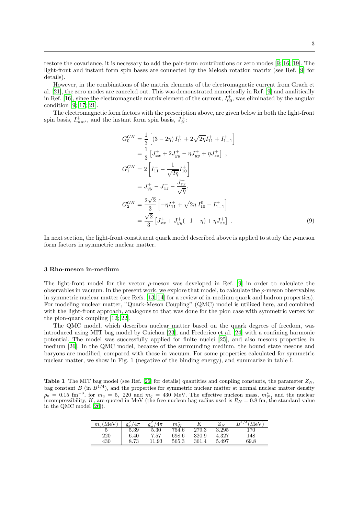restore the covariance, it is necessary to add the pair-term contributions or zero modes [\[9](#page-6-8); [16;](#page-6-15) [19\]](#page-6-18). The light-front and instant form spin bases are connected by the Melosh rotation matrix (see Ref. [\[9\]](#page-6-8) for details).

However, in the combinations of the matrix elements of the electromagnetic current from Grach et al. [\[21\]](#page-6-20), the zero modes are canceled out. This was demonstrated numerically in Ref. [\[9](#page-6-8)] and analitically in Ref. [\[16\]](#page-6-15), since the electromagnetic matrix element of the current,  $I_{00}^+$ , was eliminated by the angular condition [\[9](#page-6-8); [17;](#page-6-16) [21\]](#page-6-20).

The electromagnetic form factors with the prescription above, are given below in both the light-front spin basis,  $I_{mm'}^+$ , and the instant form spin basis,  $J_{ji}^{\ddag}$ :

$$
G_0^{GK} = \frac{1}{3} \left[ (3 - 2\eta) I_{11}^+ + 2\sqrt{2\eta} I_{11}^+ + I_{1-1}^+ \right]
$$
  
\n
$$
= \frac{1}{3} \left[ J_{xx}^+ + 2J_{yy}^+ - \eta J_{yy}^+ + \eta J_{zz}^+ \right],
$$
  
\n
$$
G_1^{GK} = 2 \left[ I_{11}^+ - \frac{1}{\sqrt{2\eta}} I_{10}^+ \right]
$$
  
\n
$$
= J_{yy}^+ - J_{zz}^+ - \frac{J_{zx}^+}{\sqrt{\eta}},
$$
  
\n
$$
G_2^{GK} = \frac{2\sqrt{2}}{3} \left[ -\eta I_{11}^+ + \sqrt{2\eta} I_{10}^0 - I_{1-1}^+ \right]
$$
  
\n
$$
= \frac{\sqrt{2}}{3} \left[ J_{xx}^+ + J_{yy}^+ (-1 - \eta) + \eta J_{zz}^+ \right].
$$
  
\n(9)

In next section, the light-front constituent quark model described above is applied to study the  $\rho$ -meson form factors in symmetric nuclear matter.

#### 3 Rho-meson in-medium

The light-front model for the vector  $\rho$ -meson was developed in Ref. [\[9\]](#page-6-8) in order to calculate the observables in vacuum. In the present work, we explore that model, to calculate the  $\rho$ -meson observables in symmetric nuclear matter (see Refs. [\[13](#page-6-12); [14\]](#page-6-13) for a review of in-medium quark and hadron properties). For modeling nuclear matter, "Quark-Meson Coupling" (QMC) model is utilized here, and combined with the light-front approach, analogous to that was done for the pion case with symmetric vertex for the pion-quark coupling [\[12](#page-6-11); [22](#page-6-21)].

The QMC model, which describes nuclear matter based on the quark degrees of freedom, was introduced using MIT bag model by Guichon [\[23](#page-6-22)], and Frederico et al. [\[24\]](#page-6-23) with a confining harmonic potential. The model was successfully applied for finite nuclei [\[25](#page-6-24)], and also mesons properties in medium [\[26\]](#page-7-0). In the QMC model, because of the surrounding medium, the bound state mesons and baryons are modified, compared with those in vacuum. For some properties calculated for symmetric nuclear matter, we show in Fig. 1 (negative of the binding energy), and summarize in table I.

**Table 1** The MIT bag model (see Ref. [\[26\]](#page-7-0) for details) quantities and coupling constants, the parameter  $Z_N$ , bag constant  $B$  (in  $B^{1/4}$ ), and the properties for symmetric nuclear matter at normal nuclear matter density  $\rho_0 = 0.15$  fm<sup>-3</sup>, for  $m_q = 5$ , 220 and  $m_q = 430$  MeV. The effective nucleon mass,  $m_N^*$ , and the nuclear incompressibility, K, are quoted in MeV (the free nucleon bag radius used is  $R_N = 0.8$  fm, the standard value in the QMC model [\[26](#page-7-0)]).

| $m_q(\text{MeV})$ | $g_{\sigma}^2/4\pi$ | $g_{\omega}^2/4\pi$ | $m^{\ast}_{N}$ |           | $Z_N$ | $B^{1/4}$ (MeV) |
|-------------------|---------------------|---------------------|----------------|-----------|-------|-----------------|
|                   | 5.39                | 5.30                | 754.6          | $279.3\,$ | 3.295 | 170             |
| 220               | 6.40                | 7.57                | 698.6          | 320.9     | 4.327 | 148             |
| 430               | 8.73                | 11.93               | 565.3          | 361.4     | 5.497 | 69.8            |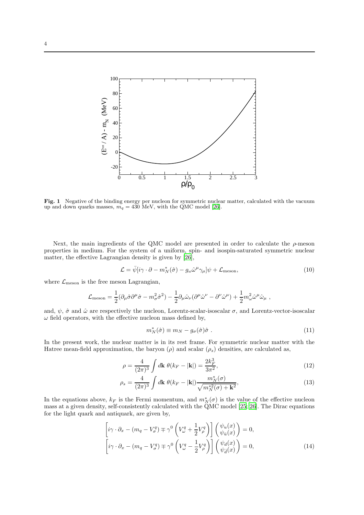

Fig. 1 Negative of the binding energy per nucleon for symmetric nuclear matter, calculated with the vacuum up and down quarks masses,  $m_q = 430$  MeV, with the QMC model [\[26](#page-7-0)].

Next, the main ingredients of the QMC model are presented in order to calculate the  $\rho$ -meson properties in medium. For the system of a uniform, spin- and isospin-saturated symmetric nuclear matter, the effective Lagrangian density is given by [\[26](#page-7-0)],

$$
\mathcal{L} = \bar{\psi}[i\gamma \cdot \partial - m_N^*(\hat{\sigma}) - g_\omega \hat{\omega}^\mu \gamma_\mu] \psi + \mathcal{L}_{\text{meson}},
$$
\n(10)

where  $\mathcal{L}_{\text{meson}}$  is the free meson Lagrangian,

$$
\mathcal{L}_{\rm meson} = \frac{1}{2}(\partial_\mu \hat{\sigma}\partial^\mu \hat{\sigma} - m_\sigma^2 \hat{\sigma}^2) - \frac{1}{2}\partial_\mu \hat{\omega}_\nu (\partial^\mu \hat{\omega}^\nu - \partial^\nu \hat{\omega}^\mu) + \frac{1}{2}m_\omega^2 \hat{\omega}^\mu \hat{\omega}_\mu \ ,
$$

and,  $\psi$ ,  $\hat{\sigma}$  and  $\hat{\omega}$  are respectively the nucleon, Lorentz-scalar-isoscalar  $\sigma$ , and Lorentz-vector-isoscalar  $\omega$  field operators, with the effective nucleon mass defined by,

$$
m_N^*(\hat{\sigma}) \equiv m_N - g_{\sigma}(\hat{\sigma})\hat{\sigma} \ . \tag{11}
$$

In the present work, the nuclear matter is in its rest frame. For symmetric nuclear matter with the Hatree mean-field approximation, the baryon  $(\rho)$  and scalar  $(\rho_s)$  densities, are calculated as,

$$
\rho = \frac{4}{(2\pi)^3} \int d\mathbf{k} \ \theta(k_F - |\mathbf{k}|) = \frac{2k_F^3}{3\pi^2},\tag{12}
$$

$$
\rho_s = \frac{4}{(2\pi)^3} \int d\mathbf{k} \ \theta(k_F - |\mathbf{k}|) \frac{m_N^*(\sigma)}{\sqrt{m_N^*(\sigma) + \mathbf{k}^2}},\tag{13}
$$

In the equations above,  $k_F$  is the Fermi momentum, and  $m_N^*(\sigma)$  is the value of the effective nucleon mass at a given density, self-consistently calculated with the QMC model [\[25;](#page-6-24) [26\]](#page-7-0). The Dirac equations for the light quark and antiquark, are given by,

$$
\left[i\gamma \cdot \partial_x - (m_q - V^q_\sigma) \mp \gamma^0 \left(V^q_\omega + \frac{1}{2} V^q_\rho\right)\right] \begin{pmatrix} \psi_u(x) \\ \psi_{\bar{u}}(x) \end{pmatrix} = 0,
$$
\n
$$
\left[i\gamma \cdot \partial_x - (m_q - V^q_\sigma) \mp \gamma^0 \left(V^q_\omega - \frac{1}{2} V^q_\rho\right)\right] \begin{pmatrix} \psi_d(x) \\ \psi_{\bar{d}}(x) \end{pmatrix} = 0,
$$
\n(14)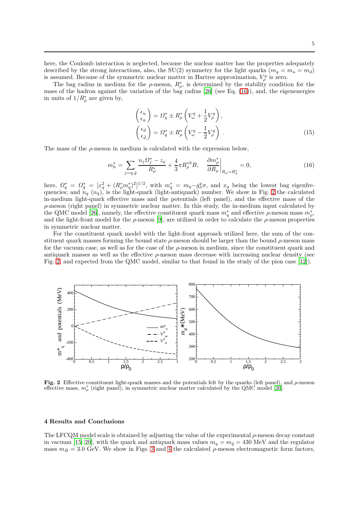here, the Coulomb interaction is neglected, because the nuclear matter has the properties adequately described by the strong interactions, also, the SU(2) symmetry for the light quarks  $(m_q = m_u = m_d)$ is assumed. Because of the symmetric nuclear matter in Hartree approximation,  $V_{\rho}^{q}$  is zero.

The bag radius in medium for the  $\rho$ -meson,  $R^*_{\rho}$ , is determined by the stability condition for the mass of the hadron against the variation of the bag radius [\[26\]](#page-7-0) (see Eq. [\(16\)](#page-4-0)), and, the eigenenergies in units of  $1/R^*_{\rho}$  are given by,

$$
\begin{pmatrix}\n\epsilon_u \\
\epsilon_{\bar{u}}\n\end{pmatrix} = \varOmega_q^* \pm R_\rho^* \left(V_\omega^q + \frac{1}{2} V_\rho^q\right),
$$
\n
$$
\begin{pmatrix}\n\epsilon_d \\
\epsilon_{\bar{d}}\n\end{pmatrix} = \varOmega_q^* \pm R_\rho^* \left(V_\omega^q - \frac{1}{2} V_\rho^q\right).
$$
\n(15)

The mass of the  $\rho$ -meson in medium is calculated with the expression below,

<span id="page-4-0"></span>
$$
m_h^* = \sum_{j=q,\bar{q}} \frac{n_j \Omega_j^* - z_\rho}{R_\rho^*} + \frac{4}{3} \pi R_\rho^{*3} B, \quad \frac{\partial m_\rho^*}{\partial R_\rho} \bigg|_{R_\rho = R_\rho^*} = 0,
$$
\n(16)

here,  $\Omega_q^* = \Omega_{\bar{q}}^* = [x_q^2 + (R_\rho^* m_q^*)^2]^{1/2}$ , with  $m_q^* = m_q - g_\sigma^q \sigma$ , and  $x_q$  being the lowest bag eigenfrequencies; and  $n_q$   $(n_{\bar{q}})$ , is the light-quark (light-antiquark) number. We show in Fig. [2](#page-4-1) the calculated in-medium light-quark effective mass and the potentials (left panel), and the effective mass of the  $\rho$ -meson (right panel) in symmetric nuclear matter. In this study, the in-medium input calculated by the QMC model [\[26](#page-7-0)], namely, the effective constituent quark mass  $m_q^*$  and effective  $\rho$ -meson mass  $m_\rho^*$ , and the light-front model for the  $\rho$ -meson [\[9\]](#page-6-8), are utilized in order to calculate the  $\rho$ -meson properties in symmetric nuclear matter.

For the constituent quark model with the light-front approach utilized here, the sum of the constituent quark masses forming the bound state  $\rho$ -meson should be larger than the bound  $\rho$ -meson mass for the vacuum case, as well as for the case of the  $\rho$ -meson in medium, since the constituent quark and antiquark masses as well as the effective  $\rho$ -meson mass decrease with increasing nuclear density (see Fig. [2,](#page-4-1) and expected from the QMC model, similar to that found in the study of the pion case [\[12\]](#page-6-11)).



<span id="page-4-1"></span>Fig. 2 Effective constituent light-quark masses and the potentials felt by the quarks (left panel), and  $\rho$ -meson effective mass,  $m_{\rho}^*$  (right panel), in symmetric nuclear matter calculated by the QMC model [\[26](#page-7-0)].

#### 4 Results and Conclusions

The LFCQM model scale is obtained by adjusting the value of the experimental  $\rho$ -meson decay constant in vacuum [\[15;](#page-6-14) [20\]](#page-6-19), with the quark and antiquark mass values  $m_q = m_{\bar{q}} = 430$  MeV and the regulator mass  $m_R = 3.0$  $m_R = 3.0$  $m_R = 3.0$  GeV. We show in Figs. 3 and [4](#page-5-1) the calculated  $\rho$ -meson electromagnetic form factors,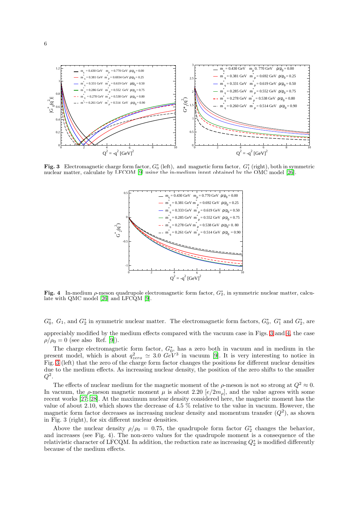

<span id="page-5-0"></span>Fig. 3 Electromagnetic charge form factor,  $G_0^*$  (left), and magnetic form factor,  $G_1^*$  (right), both in symmetric nuclear matter, calculate by LFCOM [\[9](#page-6-8)] using the in-medium input obtained by the OMC model [\[26](#page-7-0)].



<span id="page-5-1"></span>Fig. 4 In-medium  $\rho$ -meson quadrupole electromagnetic form factor,  $G_2^*$ , in symmetric nuclear matter, calculate with QMC model [\[26](#page-7-0)] and LFCQM [\[9\]](#page-6-8).

 $G_0^*$ ,  $G_1$ , and  $G_2^*$  in symmetric nuclear matter. The electromagnetic form factors,  $G_0^*$ ,  $G_1^*$  and  $G_2^*$ , are

appreciably modified by the medium effects compared with the vacuum case in Figs. [3](#page-5-0) and [4,](#page-5-1) the case  $\rho/\rho_0 = 0$  (see also Ref. [\[9](#page-6-8)]).

The charge electromagnetic form factor,  $G_0^*$ , has a zero both in vacuum and in medium in the present model, which is about  $q_{zero}^2 \approx 3.0 \ GeV^3$  in vacuum [\[9](#page-6-8)]. It is very interesting to notice in Fig. [3](#page-5-0) (left) that the zero of the charge form factor changes the positions for different nuclear densities due to the medium effects. As increasing nuclear density, the position of the zero shifts to the smaller  $Q^2$ .

The effects of nuclear medium for the magnetic moment of the  $\rho$ -meson is not so strong at  $Q^2 \approx 0$ . In vacuum, the  $\rho$ -meson magnetic moment  $\mu$  is about 2.20  $\left[\frac{e}{2m_{\rho}}\right]$ , and the value agrees with some recent works [\[27](#page-7-1); [28](#page-7-2)]. At the maximum nuclear density considered here, the magnetic moment has the value of about 2.10, which shows the decrease of 4.5 % relative to the value in vacuum. However, the magnetic form factor decreases as increasing nuclear density and momentum transfer  $(Q^2)$ , as shown in Fig. 3 (right), for six different nuclear densities.

Above the nuclear density  $\rho/\rho_0 = 0.75$ , the quadrupole form factor  $G_2^*$  changes the behavior, and increases (see Fig. 4). The non-zero values for the quadrupole moment is a consequence of the relativistic character of LFCQM. In addition, the reduction rate as increasing  $Q_2^*$  is modified differently because of the medium effects.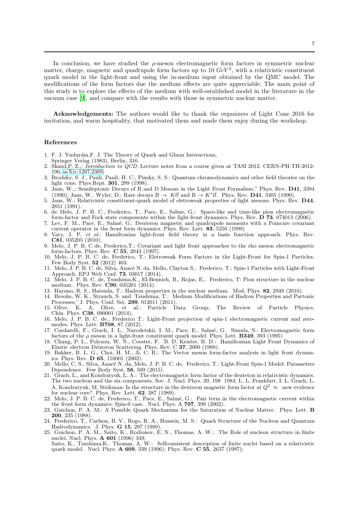In conclusion, we have studied the  $\rho$ -meson electromagnetic form factors in symmetric nuclear matter, charge, magnetic and quadrupole form factors up to 10  $GeV^2$ , with a relativistic constituent quark model in the light-front and using the in-medium input obtained by the QMC model. The modifications of the form factors due the medium effects are quite appreciable. The main point of this study is to explore the effects of the medium with well-established model in the literature in the vacuum case [\[9\]](#page-6-8), and compare with the results with those in symmetric nuclear matter.

Acknowledgements: The authors would like to thank the organizers of Light Cone 2016 for invitation, and warm hospitality, that motivated them and made them enjoy during the workshop.

#### References

- <span id="page-6-0"></span>1. F. J. Ynduráin,F. J. The Theory of Quark and Gluon Interactions,
- Springer Verlag (1983), Berlin, 316.
- <span id="page-6-1"></span>2. Skand,P. Z.,: Introduction to QCD, Lecture notes from a course given at TASI 2012. CERN-PH-TH-2012- 196, [arXiv:1207.2389.](http://arxiv.org/abs/1207.2389)
- <span id="page-6-2"></span>3. Brodsky, S. J., Pauli, Pauli, H. C., Pinsky, S. S.: Quantum chromodynamics and other field theories on the light cone. Phys.Rept. 301, 299 (1998).
- <span id="page-6-3"></span>4. Jaus, W.,: Semileptonic Decays of B and D Mesons in the Light Front Formalism," Phys. Rev. D41, 3394 (1990); Jaus, W.. Wyler, D.: Rare decays  $B \to K l \bar{l}$  and  $B \to K^* l \bar{l}$ . Phys. Rev.  $D\overline{41}$ , 3405 (1990).
- <span id="page-6-4"></span>5. Jaus, W.: Relativistic constituent-quark model of eletroweak propreties of light mesons. Phys. Rev. D44, 2851 (1991).
- <span id="page-6-5"></span>6. de Melo, J. P. B. C., Frederico, T., Pace, E., Salme, G.: Space-like and time-like pion electromagnetic form-factor and Fock state components within the light-front dynamics. Phys. Rev. D 73, 074013 (2006). 7. Lev, F. M., Pace, E., Salm´e, G.: Deuteron magnetic and quadrupole moments with a Poincare covariant
- <span id="page-6-6"></span>current operator in the front form dynamics. Phys. Rev. Lett. 83, 5250 (1999)
- <span id="page-6-7"></span>8. Vary, J. P. et al.: Hamiltonian light-front field theory in a basis function approach. Phys. Rev. C81, 035205 (2010).
- <span id="page-6-8"></span>9. Melo, J. P. B. C de, Frederico, T.: Covariant and light front approaches to the rho meson electromagnetic form-factors. Phys. Rev. C 55, 2043 (1997).
- <span id="page-6-9"></span>10. Melo, J. P. B. C. de, Frederico, T.: Eletroweak Form Factors in the Light-Front for Spin-1 Particles. Few Body Syst. 52 (2012) 403.
- <span id="page-6-10"></span>11. Melo, J. P. B. C. de, Silva, Anacé N. da, Mello, Clayton S., Frederico, T.: Spin-1 Particles with Light-Front Approach. EPJ Web Conf. 73, 03017 (2014).
- <span id="page-6-11"></span>12. Melo, J. P. B. C. de, Tsushima,K., El-Bennich, B., Rojas, E., Frederico, T: Pion structure in the nuclear medium. Phys. Rev. **C90**, 035201 (2014).
- <span id="page-6-12"></span>13. Hayano, R. S., Hatsuda, T.: Hadron properties in the nuclear medium. Mod. Phys. 82, 2949 (2010).
- <span id="page-6-13"></span>14. Brooks, W. K., Strauch, S. and Tsushima, T.: Medium Modifications of Hadron Properties and Partonic
- <span id="page-6-14"></span>Processes,' J. Phys. Conf. Ser. **299**, 012011 (2011)<br>Olive, K. A. Olive, et al.: Particle I. 15. Olive, K. A. Olive, et al.: Particle Data Group; The Review of Particle Physics. Chin. Phys. C38, 090001 (2014).
- <span id="page-6-15"></span>16. Melo, J. P. B. C. de., Frederico T.: Light-Front projection of spin-1 electromagnetic current and zeromodes. Phys. Lett. B708, 87 (2012).
- <span id="page-6-16"></span>17. Cardarelli, F., Grach, I. L., Narodetskii, I. M., Pace, E., Salm´e, G. Simula, S.: Electromagnetic form factors of the  $\rho$  meson in a light-front constituent quark model. Phys. Lett. **B349**, 393 (1995)
- <span id="page-6-17"></span>18. Chung, P. L., Polyzou, W. N., Coester, F. B. D. Keister, B. D.: Hamiltonian Light Front Dynamics of Elastic electron Deuteron Scattering. Phys. Rev. C 37, 2000 (1988).
- <span id="page-6-18"></span>19. Bakker, B. L. G., Choi, H. M., Ji, C. R.: The Vector meson form-factor analysis in light front dynamics. Phys. Rev. D 65, 116001 (2002).
- <span id="page-6-19"></span>20. Mello, C. S., Silva, Anacé N. da, Melo, J. P. B. C. de, Frederico, T.: Light-Front Spin-1 Model: Parameters Dependence. Few Body Syst. 56, 509 (2015).
- <span id="page-6-20"></span>21. Grach, L., and Kondratyuk, L. A.: The electromagnetic form factor of the deuteton in relativistic dynamics. The two nucleon and the six components. Sov. J. Nucl. Phys. 39, 198 1984; L. L. Frankfurt, I. L. Grach, L. A. Kondratyuk, M. Strikman: Is the structure in the deuteron magnetic form factor at  $Q^2 \approx$  new evidence for nuclear core?. Phys. Rev. Lett. 62, 387 (1989).
- <span id="page-6-21"></span>22. Melo, J. P. B. C. de, Frederico, T., Pace, È., Salmé, G.: Pair term in the electromagnetic current within the front form dynamics: Spin-0 case. Nucl. Phys. A  $707$ , 399 (2002).
- <span id="page-6-22"></span>23. Guichon, P. A. M.: A Possible Quark Mechanism for the Saturation of Nuclear Matter. Phys. Lett. B 200, 235 (1988).
- <span id="page-6-23"></span>24. Frederico, T., Carlson, B. V., Rego, R. A., Hussein, M. S.: Quark Structure of the Nucleon and Quantum Hadrodynamics. J. Phys. G 15, 297 (1989).
- <span id="page-6-24"></span>25. Guichon, P. A. M., Saito, K., Rodionov, E. N., Thomas, A. W.: The Role of nucleon structure in finite nuclei. Nucl. Phys. A 601 (1996) 349; Saito, K., Tsushima,K.. Thomas, A. W.: Selfconsistent description of finite nuclei based on a relativistic
	- quark model. Nucl. Phys. A 609, 339 (1996); Phys. Rev. C 55, 2637 (1997);